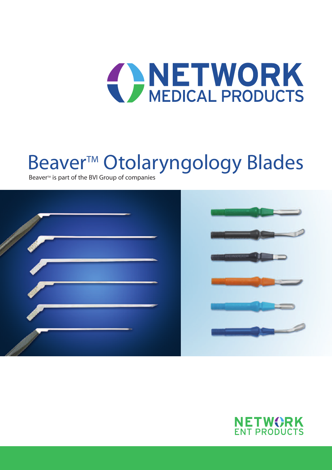# **CONEDICAL PRODUCTS**

# Beaver<sup>™</sup> Otolaryngology Blades

Beaver<sup>™</sup> is part of the BVI Group of companies



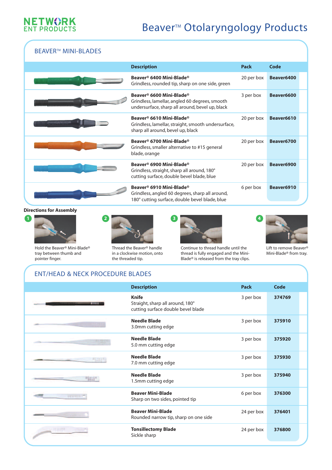

### Beaver<sup>™</sup> Otolaryngology Products

#### **BEAVER™ MINI-BLADES**

| <b>Description</b>                                                                                                                                    | Pack       | Code       |
|-------------------------------------------------------------------------------------------------------------------------------------------------------|------------|------------|
| Beaver® 6400 Mini-Blade®<br>Grindless, rounded tip, sharp on one side, green                                                                          | 20 per box | Beaver6400 |
| Beaver <sup>®</sup> 6600 Mini-Blade®<br>Grindless, lamellar, angled 60 degrees, smooth<br>undersurface, sharp all around, bevel up, black             | 3 per box  | Beaver6600 |
| Beaver <sup>®</sup> 6610 Mini-Blade®<br>Grindless, lamellar, straight, smooth undersurface,<br>sharp all around, bevel up, black                      | 20 per box | Beaver6610 |
| Beaver <sup>®</sup> 6700 Mini-Blade®<br>Grindless, smaller alternative to #15 general<br>blade, orange                                                | 20 per box | Beaver6700 |
| Beaver <sup>®</sup> 6900 Mini-Blade®<br>Grindless, straight, sharp all around, 180°<br>cutting surface, double bevel blade, blue                      | 20 per box | Beaver6900 |
| Beaver <sup>®</sup> 6910 Mini-Blade <sup>®</sup><br>Grindless, angled 60 degrees, sharp all around,<br>180° cutting surface, double bevel blade, blue | 6 per box  | Beaver6910 |

#### **Directions for Assembly**



Hold the Beaver® Mini-Blade® tray between thumb and pointer finger.



Thread the Beaver® handle in a clockwise motion, onto the threaded tip.





Continue to thread handle until the thread is fully engaged and the Mini-Blade® is released from the tray clips.

Lift to remove Beaver® Mini-Blade® from tray.

| <b>ENT/HEAD &amp; NECK PROCEDURE BLADES</b> |                                                                                        |             |        |
|---------------------------------------------|----------------------------------------------------------------------------------------|-------------|--------|
|                                             | <b>Description</b>                                                                     | <b>Pack</b> | Code   |
|                                             | <b>Knife</b><br>Straight, sharp all around, 180°<br>cutting surface double bevel blade | 3 per box   | 374769 |
|                                             | Needle Blade<br>3.0mm cutting edge                                                     | 3 per box   | 375910 |
|                                             | <b>Needle Blade</b><br>5.0 mm cutting edge                                             | 3 per box   | 375920 |
|                                             | <b>Needle Blade</b><br>7.0 mm cutting edge                                             | 3 per box   | 375930 |
| <b>PEGYAR</b>                               | <b>Needle Blade</b><br>1.5mm cutting edge                                              | 3 per box   | 375940 |
| <b>BEAVER</b>                               | <b>Beaver Mini-Blade</b><br>Sharp on two sides, pointed tip                            | 6 per box   | 376300 |
| <b>CONTRACTOR</b>                           | <b>Beaver Mini-Blade</b><br>Rounded narrow tip, sharp on one side                      | 24 per box  | 376401 |
|                                             | <b>Tonsillectomy Blade</b><br>Sickle sharp                                             | 24 per box  | 376800 |
|                                             |                                                                                        |             |        |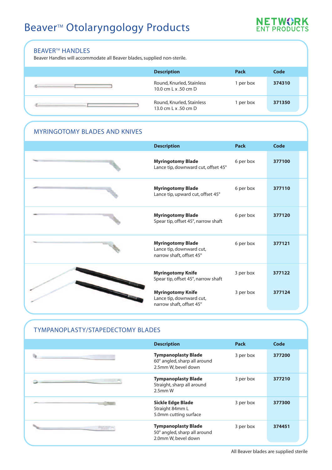## Beaver<sup>™</sup> Otolaryngology Products



#### **BEAVER™ HANDLES**

Beaver Handles will accommodate all Beaver blades, supplied non-sterile.

| <b>Description</b>                                | Pack    | Code   |  |
|---------------------------------------------------|---------|--------|--|
| Round, Knurled, Stainless<br>10.0 cm L x .50 cm D | per box | 374310 |  |
| Round, Knurled, Stainless<br>13.0 cm L x .50 cm D | per box | 371350 |  |

#### MYRINGOTOMY BLADES AND KNIVES

| <b>Description</b>                                                               | <b>Pack</b> | <b>Code</b> |
|----------------------------------------------------------------------------------|-------------|-------------|
| <b>Myringotomy Blade</b><br>Lance tip, downward cut, offset 45°                  | 6 per box   | 377100      |
| <b>Myringotomy Blade</b><br>Lance tip, upward cut, offset 45°                    | 6 per box   | 377110      |
| <b>Myringotomy Blade</b><br>Spear tip, offset 45°, narrow shaft                  | 6 per box   | 377120      |
| <b>Myringotomy Blade</b><br>Lance tip, downward cut,<br>narrow shaft, offset 45° | 6 per box   | 377121      |
| <b>Myringotomy Knife</b><br>Spear tip, offset 45°, narrow shaft                  | 3 per box   | 377122      |
| <b>Myringotomy Knife</b><br>Lance tip, downward cut,<br>narrow shaft, offset 45° | 3 per box   | 377124      |

#### TYMPANOPLASTY/STAPEDECTOMY BLADES

| <b>Description</b>                                                                | <b>Pack</b> | Code   |
|-----------------------------------------------------------------------------------|-------------|--------|
| <b>Tympanoplasty Blade</b><br>60° angled, sharp all around<br>2.5mm W, bevel down | 3 per box   | 377200 |
| <b>Tympanoplasty Blade</b><br>Straight, sharp all around<br>$2.5$ mm W            | 3 per box   | 377210 |
| <b>Sickle Edge Blade</b><br>Straight 84mm L<br>5.0mm cutting surface              | 3 per box   | 377300 |
| <b>Tympanoplasty Blade</b><br>50° angled, sharp all around<br>2.0mm W, bevel down | 3 per box   | 374451 |